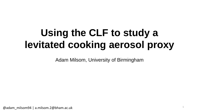# **Using the CLF to study a levitated cooking aerosol proxy**

Adam Milsom, University of Birmingham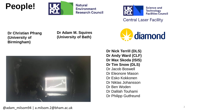



**Natural Environment Research Council** 



**Central Laser Facility** 

**Dr Christian Pfrang (University of Birmingham)**

**Dr Adam M. Squires (University of Bath)**





**Dr Nick Terrill (DLS) Dr Andy Ward (CLF) Dr Max Skoda (ISIS) Dr Tim Snow (DLS)** Dr Jacob Boswell Dr Eleonore Mason Dr Esko Kokkonen Dr Niklas Johansson Dr Ben Woden Dr Dalilah Touhami Dr Philipp Gutfreund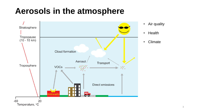## **Aerosols in the atmosphere**



- Air quality
- Health
- Climate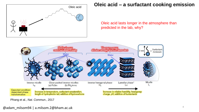

### Oleic acid **Oleic acid – a surfactant cooking emission**

Oleic acid lasts longer in the atmosphere than predicted in the lab, why?



Pfrang et al., *Nat. Commun.*, 2017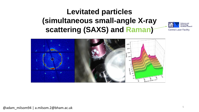## **Levitated particles (simultaneous small-angle X-ray scattering (SAXS) and Raman)**



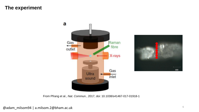### **The experiment**





From Pfrang et al., *Nat. Commun.*, 2017, doi: 10.1038/s41467-017-01918-1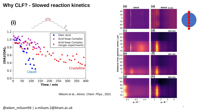

### **Why CLF? - Slowed reaction kinetics**

Milsom et al., *Atmos. Chem. Phys.*, 2021

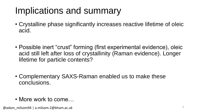# Implications and summary

- Crystalline phase significantly increases reactive lifetime of oleic acid.
- Possible inert "crust" forming (first experimental evidence), oleic acid still left after loss of crystallinity (Raman evidence). Longer lifetime for particle contents?
- Complementary SAXS-Raman enabled us to make these conclusions.
- More work to come...